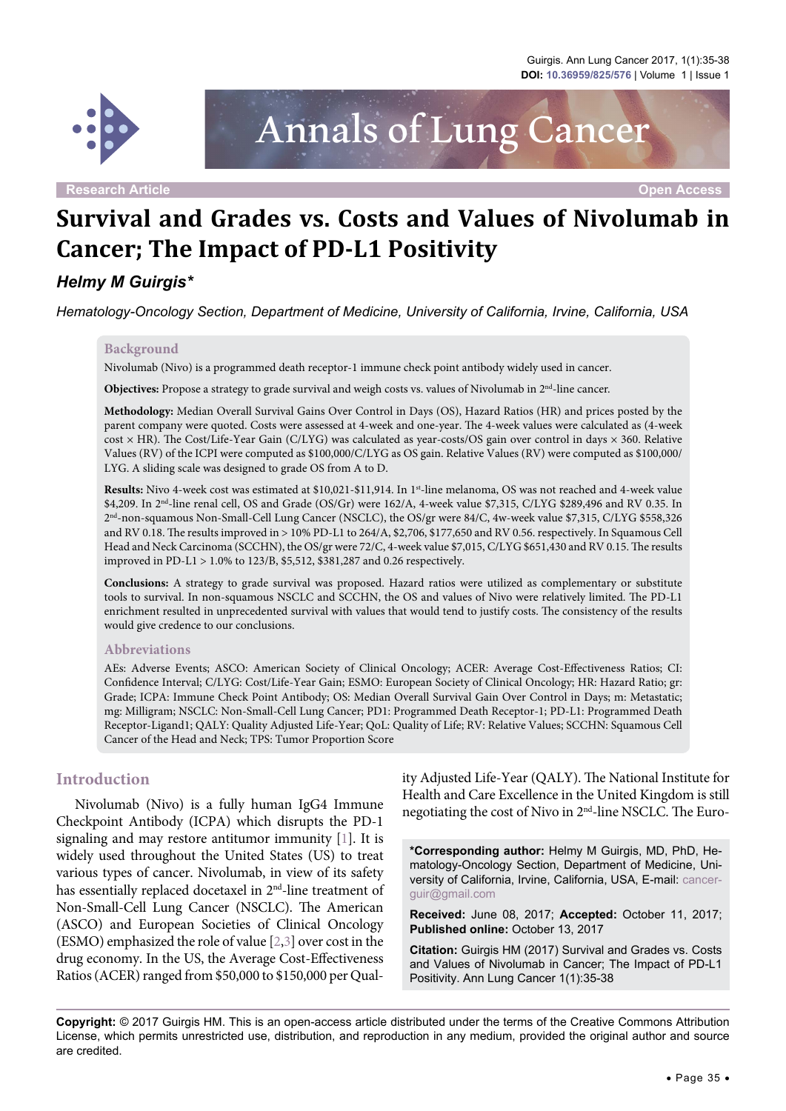

Annals of Lung Cancer

**Research Article Open Access**

# **Survival and Grades vs. Costs and Values of Nivolumab in Cancer; The Impact of PD-L1 Positivity**

## *Helmy M Guirgis\**

*Hematology-Oncology Section, Department of Medicine, University of California, Irvine, California, USA*

#### **Background**

Nivolumab (Nivo) is a programmed death receptor-1 immune check point antibody widely used in cancer.

**Objectives:** Propose a strategy to grade survival and weigh costs vs. values of Nivolumab in 2<sup>nd</sup>-line cancer.

**Methodology:** Median Overall Survival Gains Over Control in Days (OS), Hazard Ratios (HR) and prices posted by the parent company were quoted. Costs were assessed at 4-week and one-year. The 4-week values were calculated as (4-week cost × HR). The Cost/Life-Year Gain (C/LYG) was calculated as year-costs/OS gain over control in days × 360. Relative Values (RV) of the ICPI were computed as \$100,000/C/LYG as OS gain. Relative Values (RV) were computed as \$100,000/ LYG. A sliding scale was designed to grade OS from A to D.

**Results:** Nivo 4-week cost was estimated at \$10,021-\$11,914. In 1st-line melanoma, OS was not reached and 4-week value \$4,209. In 2nd-line renal cell, OS and Grade (OS/Gr) were 162/A, 4-week value \$7,315, C/LYG \$289,496 and RV 0.35. In 2nd-non-squamous Non-Small-Cell Lung Cancer (NSCLC), the OS/gr were 84/C, 4w-week value \$7,315, C/LYG \$558,326 and RV 0.18. The results improved in > 10% PD-L1 to 264/A, \$2,706, \$177,650 and RV 0.56. respectively. In Squamous Cell Head and Neck Carcinoma (SCCHN), the OS/gr were 72/C, 4-week value \$7,015, C/LYG \$651,430 and RV 0.15. The results improved in PD-L1 > 1.0% to 123/B, \$5,512, \$381,287 and 0.26 respectively.

**Conclusions:** A strategy to grade survival was proposed. Hazard ratios were utilized as complementary or substitute tools to survival. In non-squamous NSCLC and SCCHN, the OS and values of Nivo were relatively limited. The PD-L1 enrichment resulted in unprecedented survival with values that would tend to justify costs. The consistency of the results would give credence to our conclusions.

#### **Abbreviations**

AEs: Adverse Events; ASCO: American Society of Clinical Oncology; ACER: Average Cost-Effectiveness Ratios; CI: Confidence Interval; C/LYG: Cost/Life-Year Gain; ESMO: European Society of Clinical Oncology; HR: Hazard Ratio; gr: Grade; ICPA: Immune Check Point Antibody; OS: Median Overall Survival Gain Over Control in Days; m: Metastatic; mg: Milligram; NSCLC: Non-Small-Cell Lung Cancer; PD1: Programmed Death Receptor-1; PD-L1: Programmed Death Receptor-Ligand1; QALY: Quality Adjusted Life-Year; QoL: Quality of Life; RV: Relative Values; SCCHN: Squamous Cell Cancer of the Head and Neck; TPS: Tumor Proportion Score

#### **Introduction**

Nivolumab (Nivo) is a fully human IgG4 Immune Checkpoint Antibody (ICPA) which disrupts the PD-1 signaling and may restore antitumor immunity [\[1\]](#page-2-0). It is widely used throughout the United States (US) to treat various types of cancer. Nivolumab, in view of its safety has essentially replaced docetaxel in 2<sup>nd</sup>-line treatment of Non-Small-Cell Lung Cancer (NSCLC). The American (ASCO) and European Societies of Clinical Oncology (ESMO) emphasized the role of value [\[2,](#page-2-1)[3](#page-2-2)] over cost in the drug economy. In the US, the Average Cost-Effectiveness Ratios (ACER) ranged from \$50,000 to \$150,000 per Quality Adjusted Life-Year (QALY). The National Institute for Health and Care Excellence in the United Kingdom is still negotiating the cost of Nivo in 2nd-line NSCLC. The Euro-

**\*Corresponding author:** Helmy M Guirgis, MD, PhD, Hematology-Oncology Section, Department of Medicine, University of California, Irvine, California, USA, E-mail: [cancer](mailto:cancerguir@gmail.com)[guir@gmail.com](mailto:cancerguir@gmail.com)

**Received:** June 08, 2017; **Accepted:** October 11, 2017; **Published online:** October 13, 2017

**Citation:** Guirgis HM (2017) Survival and Grades vs. Costs and Values of Nivolumab in Cancer; The Impact of PD-L1 Positivity. Ann Lung Cancer 1(1):35-38

**Copyright:** © 2017 Guirgis HM. This is an open-access article distributed under the terms of the Creative Commons Attribution License, which permits unrestricted use, distribution, and reproduction in any medium, provided the original author and source are credited.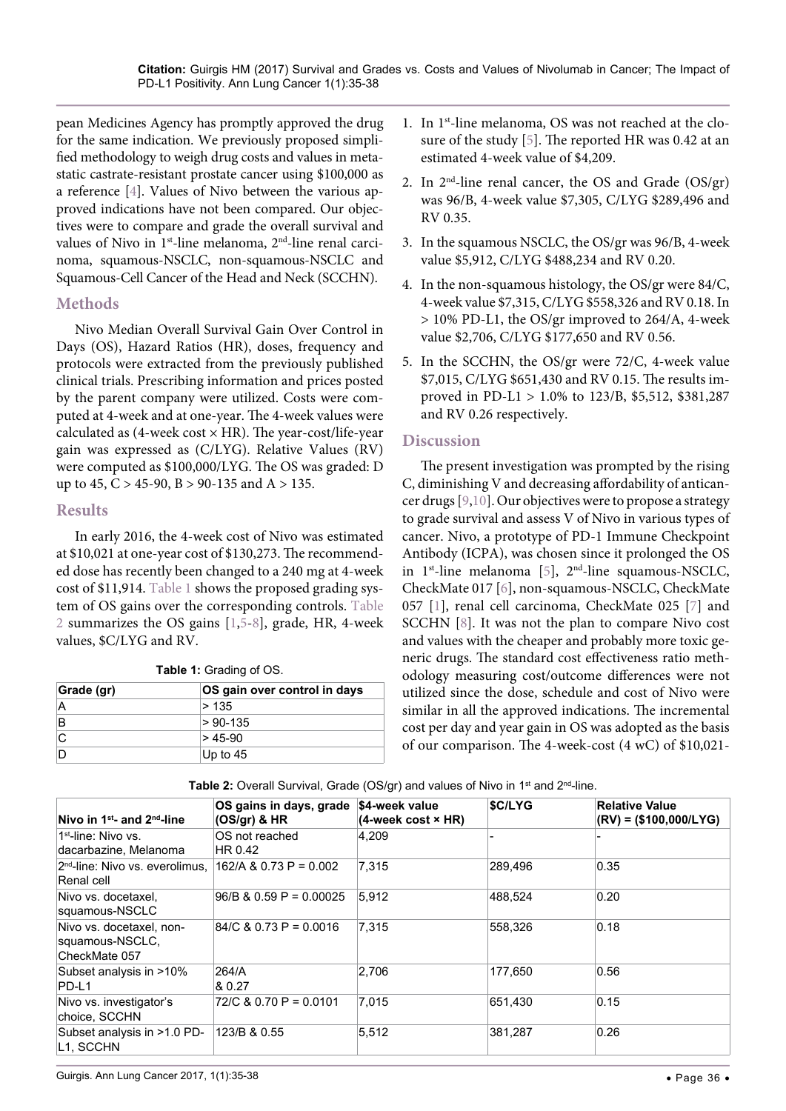pean Medicines Agency has promptly approved the drug for the same indication. We previously proposed simplified methodology to weigh drug costs and values in metastatic castrate-resistant prostate cancer using \$100,000 as a reference [\[4](#page-2-3)]. Values of Nivo between the various approved indications have not been compared. Our objectives were to compare and grade the overall survival and values of Nivo in 1<sup>st</sup>-line melanoma, 2<sup>nd</sup>-line renal carcinoma, squamous-NSCLC, non-squamous-NSCLC and Squamous-Cell Cancer of the Head and Neck (SCCHN).

## **Methods**

Nivo Median Overall Survival Gain Over Control in Days (OS), Hazard Ratios (HR), doses, frequency and protocols were extracted from the previously published clinical trials. Prescribing information and prices posted by the parent company were utilized. Costs were computed at 4-week and at one-year. The 4-week values were calculated as  $(4$ -week cost  $\times$  HR). The year-cost/life-year gain was expressed as (C/LYG). Relative Values (RV) were computed as \$100,000/LYG. The OS was graded: D up to 45,  $C > 45-90$ ,  $B > 90-135$  and  $A > 135$ .

## **Results**

In early 2016, the 4-week cost of Nivo was estimated at \$10,021 at one-year cost of \$130,273. The recommended dose has recently been changed to a 240 mg at 4-week cost of \$11,914. [Table 1](#page-1-0) shows the proposed grading system of OS gains over the corresponding controls. [Table](#page-1-1)  [2](#page-1-1) summarizes the OS gains [\[1](#page-2-0),[5](#page-3-0)[-8](#page-3-1)], grade, HR, 4-week values, \$C/LYG and RV.

<span id="page-1-0"></span>**Table 1:** Grading of OS.

| Grade (gr) | OS gain over control in days |  |  |
|------------|------------------------------|--|--|
|            | >135                         |  |  |
| В          | $> 90-135$                   |  |  |
|            | $> 45-90$                    |  |  |
|            | Up to $45$                   |  |  |

- 1. In 1<sup>st</sup>-line melanoma, OS was not reached at the closure of the study [[5](#page-3-0)]. The reported HR was 0.42 at an estimated 4-week value of \$4,209.
- 2. In  $2<sup>nd</sup>$ -line renal cancer, the OS and Grade (OS/gr) was 96/B, 4-week value \$7,305, C/LYG \$289,496 and RV 0.35.
- 3. In the squamous NSCLC, the OS/gr was 96/B, 4-week value \$5,912, C/LYG \$488,234 and RV 0.20.
- 4. In the non-squamous histology, the OS/gr were 84/C, 4-week value \$7,315, C/LYG \$558,326 and RV 0.18. In > 10% PD-L1, the OS/gr improved to 264/A, 4-week value \$2,706, C/LYG \$177,650 and RV 0.56.
- 5. In the SCCHN, the OS/gr were 72/C, 4-week value \$7,015, C/LYG \$651,430 and RV 0.15. The results improved in PD-L1 > 1.0% to 123/B, \$5,512, \$381,287 and RV 0.26 respectively.

## **Discussion**

The present investigation was prompted by the rising C, diminishing V and decreasing affordability of anticancer drugs [\[9](#page-3-2),[10](#page-3-3)]. Our objectives were to propose a strategy to grade survival and assess V of Nivo in various types of cancer. Nivo, a prototype of PD-1 Immune Checkpoint Antibody (ICPA), was chosen since it prolonged the OS in  $1^{st}$ -line melanoma [[5](#page-3-0)],  $2^{nd}$ -line squamous-NSCLC, CheckMate 017 [\[6\]](#page-3-4), non-squamous-NSCLC, CheckMate 057 [[1\]](#page-2-0), renal cell carcinoma, CheckMate 025 [[7](#page-3-5)] and SCCHN [[8\]](#page-3-1). It was not the plan to compare Nivo cost and values with the cheaper and probably more toxic generic drugs. The standard cost effectiveness ratio methodology measuring cost/outcome differences were not utilized since the dose, schedule and cost of Nivo were similar in all the approved indications. The incremental cost per day and year gain in OS was adopted as the basis of our comparison. The 4-week-cost (4 wC) of \$10,021-

| Nivo in $1^{st}$ - and $2^{nd}$ -line                        | OS gains in days, grade<br>$(OS\sqrt{gr})$ & HR | <b>\$4-week value</b><br>$(4$ -week cost $\times$ HR) | \$C/LYG | <b>Relative Value</b><br>$(RV) = ($100,000/LYG)$ |
|--------------------------------------------------------------|-------------------------------------------------|-------------------------------------------------------|---------|--------------------------------------------------|
| 1 <sup>st</sup> -line: Nivo vs.<br>dacarbazine, Melanoma     | OS not reached<br>HR 0.42                       | 4.209                                                 |         |                                                  |
| 2 <sup>nd</sup> -line: Nivo vs. everolimus.<br>Renal cell    | $162/A$ & 0.73 P = 0.002                        | 7,315                                                 | 289,496 | 0.35                                             |
| Nivo vs. docetaxel,<br>squamous-NSCLC                        | $96/B$ & 0.59 P = 0.00025                       | 5,912                                                 | 488,524 | 0.20                                             |
| Nivo vs. docetaxel, non-<br>squamous-NSCLC,<br>CheckMate 057 | $84/C$ & 0.73 P = 0.0016                        | 7,315                                                 | 558,326 | 0.18                                             |
| Subset analysis in >10%<br>PD-L1                             | 264/A<br>& 0.27                                 | 2,706                                                 | 177,650 | 0.56                                             |
| Nivo vs. investigator's<br>choice, SCCHN                     | 72/C & 0.70 P = 0.0101                          | 7.015                                                 | 651.430 | 0.15                                             |
| Subset analysis in >1.0 PD-<br>L1, SCCHN                     | 123/B & 0.55                                    | 5,512                                                 | 381,287 | 0.26                                             |

<span id="page-1-1"></span>Table 2: Overall Survival, Grade (OS/gr) and values of Nivo in 1<sup>st</sup> and 2<sup>nd</sup>-line.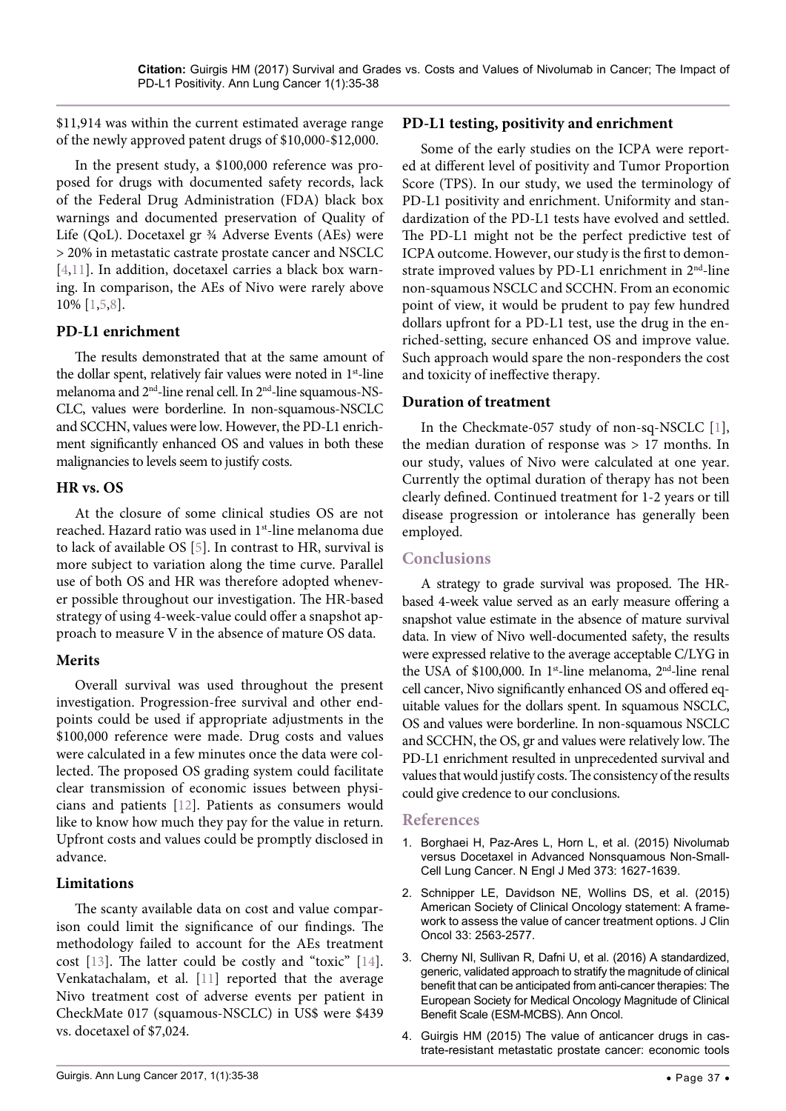\$11,914 was within the current estimated average range of the newly approved patent drugs of \$10,000-\$12,000.

In the present study, a \$100,000 reference was proposed for drugs with documented safety records, lack of the Federal Drug Administration (FDA) black box warnings and documented preservation of Quality of Life (QoL). Docetaxel gr ¾ Adverse Events (AEs) were > 20% in metastatic castrate prostate cancer and NSCLC [\[4,](#page-2-3)[11\]](#page-3-6). In addition, docetaxel carries a black box warning. In comparison, the AEs of Nivo were rarely above 10% [[1](#page-2-0)[,5](#page-3-0)[,8\]](#page-3-1).

#### **PD-L1 enrichment**

The results demonstrated that at the same amount of the dollar spent, relatively fair values were noted in  $1<sup>st</sup>$ -line melanoma and 2nd-line renal cell. In 2nd-line squamous-NS-CLC, values were borderline. In non-squamous-NSCLC and SCCHN, values were low. However, the PD-L1 enrichment significantly enhanced OS and values in both these malignancies to levels seem to justify costs.

#### **HR vs. OS**

At the closure of some clinical studies OS are not reached. Hazard ratio was used in 1<sup>st</sup>-line melanoma due to lack of available OS [[5](#page-3-0)]. In contrast to HR, survival is more subject to variation along the time curve. Parallel use of both OS and HR was therefore adopted whenever possible throughout our investigation. The HR-based strategy of using 4-week-value could offer a snapshot approach to measure V in the absence of mature OS data.

#### **Merits**

Overall survival was used throughout the present investigation. Progression-free survival and other endpoints could be used if appropriate adjustments in the \$100,000 reference were made. Drug costs and values were calculated in a few minutes once the data were collected. The proposed OS grading system could facilitate clear transmission of economic issues between physicians and patients [[12](#page-3-7)]. Patients as consumers would like to know how much they pay for the value in return. Upfront costs and values could be promptly disclosed in advance.

#### **Limitations**

The scanty available data on cost and value comparison could limit the significance of our findings. The methodology failed to account for the AEs treatment cost [[13](#page-3-8)]. The latter could be costly and "toxic" [[14](#page-3-9)]. Venkatachalam, et al. [[11\]](#page-3-6) reported that the average Nivo treatment cost of adverse events per patient in CheckMate 017 (squamous-NSCLC) in US\$ were \$439 vs. docetaxel of \$7,024.

#### **PD-L1 testing, positivity and enrichment**

Some of the early studies on the ICPA were reported at different level of positivity and Tumor Proportion Score (TPS). In our study, we used the terminology of PD-L1 positivity and enrichment. Uniformity and standardization of the PD-L1 tests have evolved and settled. The PD-L1 might not be the perfect predictive test of ICPA outcome. However, our study is the first to demonstrate improved values by PD-L1 enrichment in 2<sup>nd</sup>-line non-squamous NSCLC and SCCHN. From an economic point of view, it would be prudent to pay few hundred dollars upfront for a PD-L1 test, use the drug in the enriched-setting, secure enhanced OS and improve value. Such approach would spare the non-responders the cost and toxicity of ineffective therapy.

#### **Duration of treatment**

In the Checkmate-057 study of non-sq-NSCLC [\[1](#page-2-0)], the median duration of response was > 17 months. In our study, values of Nivo were calculated at one year. Currently the optimal duration of therapy has not been clearly defined. Continued treatment for 1-2 years or till disease progression or intolerance has generally been employed.

### **Conclusions**

A strategy to grade survival was proposed. The HRbased 4-week value served as an early measure offering a snapshot value estimate in the absence of mature survival data. In view of Nivo well-documented safety, the results were expressed relative to the average acceptable C/LYG in the USA of \$100,000. In 1<sup>st</sup>-line melanoma, 2<sup>nd</sup>-line renal cell cancer, Nivo significantly enhanced OS and offered equitable values for the dollars spent. In squamous NSCLC, OS and values were borderline. In non-squamous NSCLC and SCCHN, the OS, gr and values were relatively low. The PD-L1 enrichment resulted in unprecedented survival and values that would justify costs. The consistency of the results could give credence to our conclusions.

#### **References**

- <span id="page-2-0"></span>1. [Borghaei H, Paz-Ares L, Horn L, et al. \(2015\) Nivolumab](https://www.ncbi.nlm.nih.gov/pubmed/26412456)  [versus Docetaxel in Advanced Nonsquamous Non-Small-](https://www.ncbi.nlm.nih.gov/pubmed/26412456)[Cell Lung Cancer. N Engl J Med 373: 1627-1639.](https://www.ncbi.nlm.nih.gov/pubmed/26412456)
- <span id="page-2-1"></span>2. [Schnipper LE, Davidson NE, Wollins DS, et al. \(2015\)](https://www.ncbi.nlm.nih.gov/pubmed/26101248)  [American Society of Clinical Oncology statement: A frame](https://www.ncbi.nlm.nih.gov/pubmed/26101248)[work to assess the value of cancer treatment options. J Clin](https://www.ncbi.nlm.nih.gov/pubmed/26101248)  [Oncol 33: 2563-2577.](https://www.ncbi.nlm.nih.gov/pubmed/26101248)
- <span id="page-2-2"></span>3. [Cherny NI, Sullivan R, Dafni U, et al. \(2016\) A standardized,](https://www.ncbi.nlm.nih.gov/pubmed/27604385)  [generic, validated approach to stratify the magnitude of clinical](https://www.ncbi.nlm.nih.gov/pubmed/27604385)  [benefit that can be anticipated from anti-cancer therapies: The](https://www.ncbi.nlm.nih.gov/pubmed/27604385)  [European Society for Medical Oncology Magnitude of Clinical](https://www.ncbi.nlm.nih.gov/pubmed/27604385)  [Benefit Scale \(ESM-MCBS\). Ann Oncol.](https://www.ncbi.nlm.nih.gov/pubmed/27604385)
- <span id="page-2-3"></span>4. [Guirgis HM \(2015\) The value of anticancer drugs in cas](https://www.ncbi.nlm.nih.gov/pubmed/26862911)[trate-resistant metastatic prostate cancer: economic tools](https://www.ncbi.nlm.nih.gov/pubmed/26862911)